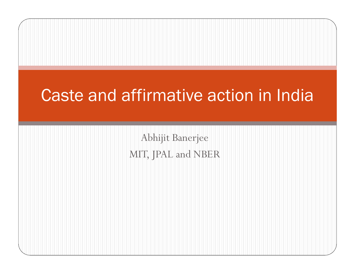## Caste and affirmative action in India

Abhijit BanerjeeMIT, JPAL and NBER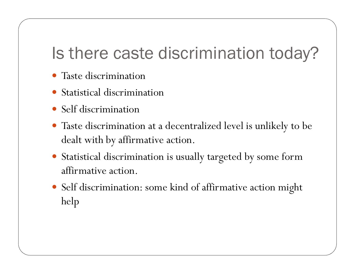## Is there caste discrimination today?

- Taste discrimination
- Statistical discrimination
- Self discrimination
- Taste discrimination at a decentralized level is unlikely to be dealt with by affirmative action.
- Statistical discrimination is usually targeted by some form affirmative action.
- Self discrimination: some kind of affirmative action might help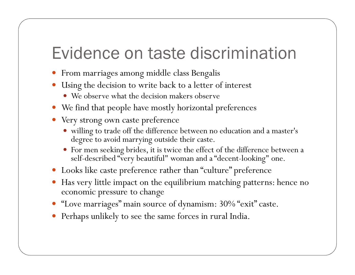### Evidence on taste discrimination

- 0 From marriages among middle class Bengalis
- 0 Using the decision to write back to a letter of interest
	- We observe what the decision makers observe
- We find that people have mostly horizontal preferences
- Very strong own caste preference
	- willing to trade off the difference between no education and a master's degree to avoid marrying outside their caste.
	- For men seeking brides, it is twice the effect of the difference between a self-described "very beautiful" woman and a "decent-looking" one.
- Looks like caste preference rather than "culture" preference
- Has very little impact on the equilibrium matching patterns: hence no economic pressure to change
- "Love marriages" main source of dynamism: 30% "exit" caste.
- 0 Perhaps unlikely to see the same forces in rural India.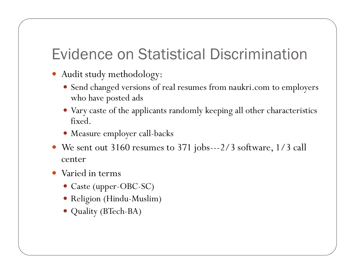#### Evidence on Statistical Discrimination

- Audit study methodology:
	- Send changed versions of real resumes from naukri.com to employers who have posted ads
	- Vary caste of the applicants randomly keeping all other characteristics fixed.
	- Measure employer call-backs
- We sent out 3160 resumes to 371 jobs---2/3 software, 1/3 call center
- Varied in terms
	- Caste (upper-OBC-SC)
	- Religion (Hindu-Muslim)
	- Quality (BTech-BA)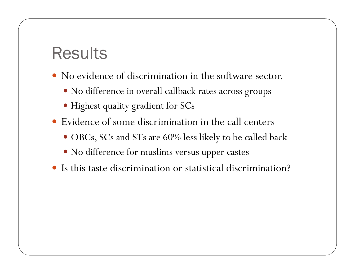### **Results**

- No evidence of discrimination in the software sector.
	- No difference in overall callback rates across groups
	- Highest quality gradient for SCs
- Evidence of some discrimination in the call centers
	- OBCs, SCs and STs are 60% less likely to be called back
	- No difference for muslims versus upper castes
- Is this taste discrimination or statistical discrimination?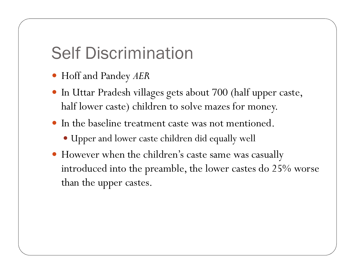# Self Discrimination

- Hoff and Pandey *AER*
- In Uttar Pradesh villages gets about 700 (half upper caste, half lower caste) children to solve mazes for money.
- In the baseline treatment caste was not mentioned.
	- Upper and lower caste children did equally well
- However when the children's caste same was casually introduced into the preamble, the lower castes do 25% worse than the upper castes.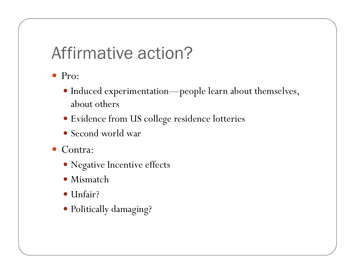## Affirmative action?

- Pro:
	- Induced experimentation—people learn about themselves, about others
	- Evidence from US college residence lotteries
	- Second world war
- Contra:
	- Negative Incentive effects
	- Mismatch
	- Unfair?
	- Politically damaging?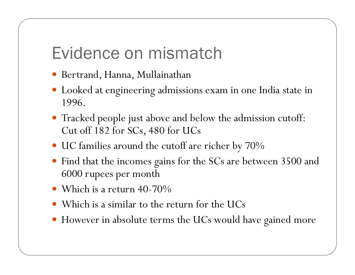### Evidence on mismatch

- Bertrand, Hanna, Mullainathan
- Looked at engineering admissions exam in one India state in 1996.
- Tracked people just above and below the admission cutoff: Cut off 182 for SCs, 480 for UCs
- UC families around the cutoff are richer by 70%
- Find that the incomes gains for the SCs are between 3500 and 6000 rupees per month
- Which is a return 40-70%
- Which is a similar to the return for the UCs
- However in absolute terms the UCs would have gained more